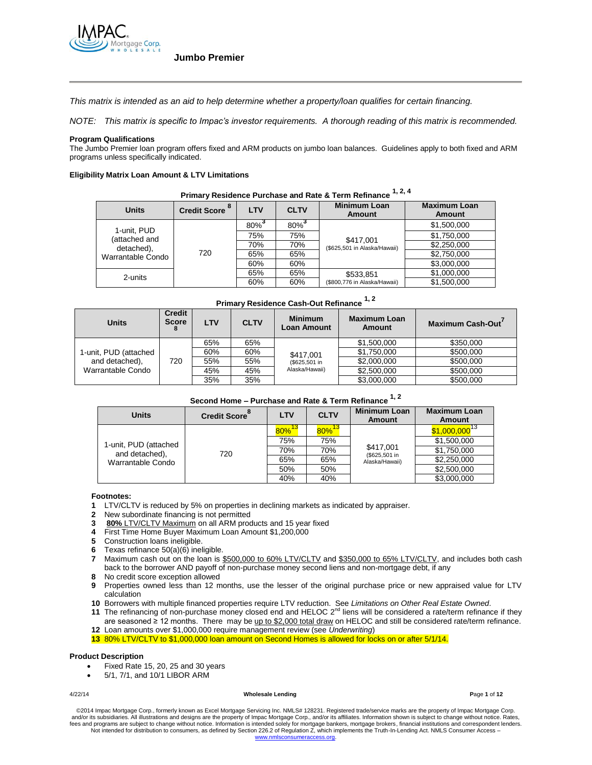

*This matrix is intended as an aid to help determine whether a property/loan qualifies for certain financing.*

*NOTE: This matrix is specific to Impac's investor requirements. A thorough reading of this matrix is recommended.*

#### **Program Qualifications**

The Jumbo Premier loan program offers fixed and ARM products on jumbo loan balances. Guidelines apply to both fixed and ARM programs unless specifically indicated.

#### **Eligibility Matrix Loan Amount & LTV Limitations**

| Primary Residence Purchase and Rate & Term Refinance            |                           |            |             |                                           |                                      |  |
|-----------------------------------------------------------------|---------------------------|------------|-------------|-------------------------------------------|--------------------------------------|--|
| <b>Units</b>                                                    | Credit Score <sup>8</sup> | <b>LTV</b> | <b>CLTV</b> | <b>Minimum Loan</b><br>Amount             | <b>Maximum Loan</b><br><b>Amount</b> |  |
| 1-unit. PUD<br>(attached and<br>detached),<br>Warrantable Condo | 720                       | 80%        | $80\%$      | \$417,001<br>(\$625,501 in Alaska/Hawaii) | \$1,500,000                          |  |
|                                                                 |                           | 75%        | 75%         |                                           | \$1,750,000                          |  |
|                                                                 |                           | 70%        | 70%         |                                           | \$2,250,000                          |  |
|                                                                 |                           | 65%        | 65%         |                                           | \$2,750,000                          |  |
|                                                                 |                           | 60%        | 60%         |                                           | \$3,000,000                          |  |
| 2-units                                                         |                           | 65%        | 65%         | \$533,851<br>(\$800,776 in Alaska/Hawaii) | \$1,000,000                          |  |
|                                                                 |                           | 60%        | 60%         |                                           | \$1,500,000                          |  |

## **Primary Residence Purchase and Rate & Term Refinance 1, 2, 4**

| <b>Primary Residence Cash-Out Refinance 1, 2</b> |                               |            |             |                                      |                                      |                  |
|--------------------------------------------------|-------------------------------|------------|-------------|--------------------------------------|--------------------------------------|------------------|
| <b>Units</b>                                     | <b>Credit</b><br><b>Score</b> | <b>LTV</b> | <b>CLTV</b> | <b>Minimum</b><br><b>Loan Amount</b> | <b>Maximum Loan</b><br><b>Amount</b> | Maximum Cash-Out |
|                                                  |                               | 65%        | 65%         |                                      | \$1,500,000                          | \$350,000        |
| 1-unit, PUD (attached                            |                               | 60%        | 60%         | \$417,001                            | \$1,750,000                          | \$500,000        |
| and detached),                                   | 720                           | 55%        | 55%         | (\$625,501 in                        | \$2,000,000                          | \$500,000        |
| Warrantable Condo                                |                               | 45%        | 45%         | Alaska/Hawaii)                       | \$2,500,000                          | \$500,000        |
|                                                  |                               | 35%        | 35%         |                                      | \$3,000,000                          | \$500,000        |

# **Second Home – Purchase and Rate & Term Refinance 1, 2**

| <b>Units</b>                                                 | Credit Score <sup>8</sup> | <b>LTV</b>           | <b>CLTV</b>          | <b>Minimum Loan</b><br>Amount | <b>Maximum Loan</b><br><b>Amount</b> |
|--------------------------------------------------------------|---------------------------|----------------------|----------------------|-------------------------------|--------------------------------------|
| 1-unit, PUD (attached<br>and detached),<br>Warrantable Condo | 720                       | $80\%$ <sup>13</sup> | $80\%$ <sup>13</sup> | \$417,001<br>(\$625,501 in    | $$1,000,000$ <sup>13</sup>           |
|                                                              |                           | 75%                  | 75%                  |                               | \$1,500,000                          |
|                                                              |                           | 70%                  | 70%                  |                               | \$1,750,000                          |
|                                                              |                           | 65%                  | 65%                  | Alaska/Hawaii)                | \$2,250,000                          |
|                                                              |                           | 50%                  | 50%                  |                               | \$2,500,000                          |
|                                                              |                           | 40%                  | 40%                  |                               | \$3,000,000                          |

#### **Footnotes:**

- **1** LTV/CLTV is reduced by 5% on properties in declining markets as indicated by appraiser.
- **2** New subordinate financing is not permitted
- **3 80%** LTV/CLTV Maximum on all ARM products and 15 year fixed
- **4** First Time Home Buyer Maximum Loan Amount \$1,200,000
- **5** Construction loans ineligible.
- **6** Texas refinance 50(a)(6) ineligible.
- **7** Maximum cash out on the loan is \$500,000 to 60% LTV/CLTV and \$350,000 to 65% LTV/CLTV, and includes both cash back to the borrower AND payoff of non-purchase money second liens and non-mortgage debt, if any
- **8** No credit score exception allowed
- **9** Properties owned less than 12 months, use the lesser of the original purchase price or new appraised value for LTV calculation
- **10** Borrowers with multiple financed properties require LTV reduction. See *Limitations on Other Real Estate Owned*.
- **11** The refinancing of non-purchase money closed end and HELOC 2<sup>nd</sup> liens will be considered a rate/term refinance if they are seasoned ≥ 12 months. There may be up to \$2,000 total draw on HELOC and still be considered rate/term refinance.
- **12** Loan amounts over \$1,000,000 require management review (see *Underwriting*)

**13** 80% LTV/CLTV to \$1,000,000 loan amount on Second Homes is allowed for locks on or after 5/1/14.

#### **Product Description**

- Fixed Rate 15, 20, 25 and 30 years
- 5/1, 7/1, and 10/1 LIBOR ARM

#### 4/22/14 **Wholesale Lending P**age **1** of **12**

©2014 Impac Mortgage Corp., formerly known as Excel Mortgage Servicing Inc. NMLS# 128231. Registered trade/service marks are the property of Impac Mortgage Corp.<br>and/or its subsidiaries. All illustrations and designs are t fees and programs are subject to change without notice. Information is intended solely for mortgage bankers, mortgage brokers, financial institutions and correspondent lenders. Not intended for distribution to consumers, as defined by Section 226.2 of Regulation Z, which implements the Truth-In-Lending Act. NMLS Consumer Access – www.nm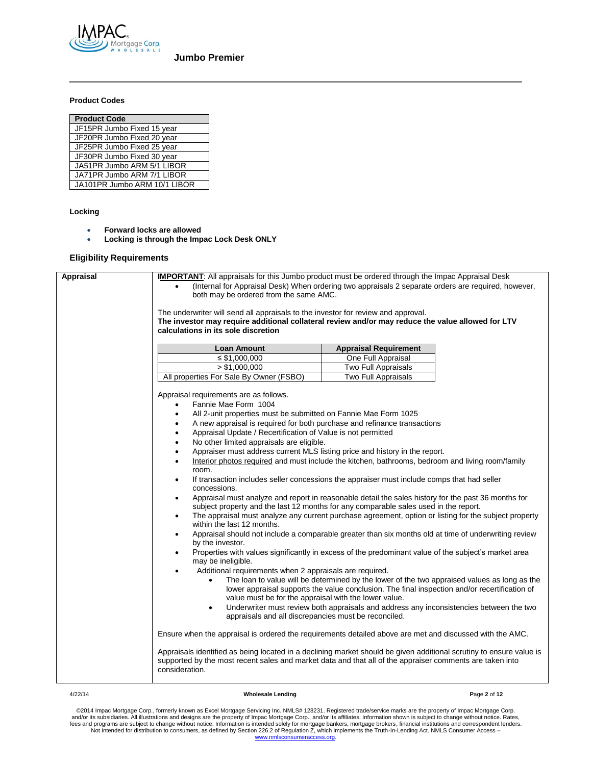

### **Product Codes**

#### **Locking**

- **Forward locks are allowed**
- **Locking is through the Impac Lock Desk ONLY**

### **Eligibility Requirements**

| <b>Appraisal</b> | <b>IMPORTANT:</b> All appraisals for this Jumbo product must be ordered through the Impac Appraisal Desk                                                                                                                                          |                                                                                               |  |  |  |
|------------------|---------------------------------------------------------------------------------------------------------------------------------------------------------------------------------------------------------------------------------------------------|-----------------------------------------------------------------------------------------------|--|--|--|
|                  | (Internal for Appraisal Desk) When ordering two appraisals 2 separate orders are required, however,<br>$\bullet$                                                                                                                                  |                                                                                               |  |  |  |
|                  | both may be ordered from the same AMC.                                                                                                                                                                                                            |                                                                                               |  |  |  |
|                  |                                                                                                                                                                                                                                                   |                                                                                               |  |  |  |
|                  | The underwriter will send all appraisals to the investor for review and approval.                                                                                                                                                                 |                                                                                               |  |  |  |
|                  | The investor may require additional collateral review and/or may reduce the value allowed for LTV                                                                                                                                                 |                                                                                               |  |  |  |
|                  | calculations in its sole discretion                                                                                                                                                                                                               |                                                                                               |  |  |  |
|                  |                                                                                                                                                                                                                                                   |                                                                                               |  |  |  |
|                  | <b>Loan Amount</b>                                                                                                                                                                                                                                | <b>Appraisal Requirement</b>                                                                  |  |  |  |
|                  | ≤ \$1,000,000                                                                                                                                                                                                                                     | One Full Appraisal                                                                            |  |  |  |
|                  | > \$1,000,000                                                                                                                                                                                                                                     | Two Full Appraisals                                                                           |  |  |  |
|                  | All properties For Sale By Owner (FSBO)                                                                                                                                                                                                           | Two Full Appraisals                                                                           |  |  |  |
|                  |                                                                                                                                                                                                                                                   |                                                                                               |  |  |  |
|                  | Appraisal requirements are as follows.                                                                                                                                                                                                            |                                                                                               |  |  |  |
|                  | Fannie Mae Form 1004                                                                                                                                                                                                                              |                                                                                               |  |  |  |
|                  | All 2-unit properties must be submitted on Fannie Mae Form 1025                                                                                                                                                                                   |                                                                                               |  |  |  |
|                  | A new appraisal is required for both purchase and refinance transactions<br>٠                                                                                                                                                                     |                                                                                               |  |  |  |
|                  | Appraisal Update / Recertification of Value is not permitted<br>$\bullet$                                                                                                                                                                         |                                                                                               |  |  |  |
|                  | No other limited appraisals are eligible.<br>٠                                                                                                                                                                                                    |                                                                                               |  |  |  |
|                  | Appraiser must address current MLS listing price and history in the report.<br>$\bullet$                                                                                                                                                          |                                                                                               |  |  |  |
|                  | Interior photos required and must include the kitchen, bathrooms, bedroom and living room/family<br>$\bullet$                                                                                                                                     |                                                                                               |  |  |  |
|                  | room.                                                                                                                                                                                                                                             |                                                                                               |  |  |  |
|                  | If transaction includes seller concessions the appraiser must include comps that had seller<br>$\bullet$<br>concessions.                                                                                                                          |                                                                                               |  |  |  |
|                  | Appraisal must analyze and report in reasonable detail the sales history for the past 36 months for<br>$\bullet$                                                                                                                                  |                                                                                               |  |  |  |
|                  | subject property and the last 12 months for any comparable sales used in the report.                                                                                                                                                              |                                                                                               |  |  |  |
|                  | The appraisal must analyze any current purchase agreement, option or listing for the subject property<br>$\bullet$<br>within the last 12 months.                                                                                                  |                                                                                               |  |  |  |
|                  | Appraisal should not include a comparable greater than six months old at time of underwriting review<br>$\bullet$                                                                                                                                 |                                                                                               |  |  |  |
|                  | by the investor.                                                                                                                                                                                                                                  |                                                                                               |  |  |  |
|                  | Properties with values significantly in excess of the predominant value of the subject's market area<br>$\bullet$<br>may be ineligible.                                                                                                           |                                                                                               |  |  |  |
|                  | Additional requirements when 2 appraisals are required.<br>$\bullet$                                                                                                                                                                              |                                                                                               |  |  |  |
|                  | $\bullet$                                                                                                                                                                                                                                         | The loan to value will be determined by the lower of the two appraised values as long as the  |  |  |  |
|                  |                                                                                                                                                                                                                                                   | lower appraisal supports the value conclusion. The final inspection and/or recertification of |  |  |  |
|                  | value must be for the appraisal with the lower value.                                                                                                                                                                                             |                                                                                               |  |  |  |
|                  | $\bullet$                                                                                                                                                                                                                                         | Underwriter must review both appraisals and address any inconsistencies between the two       |  |  |  |
|                  | appraisals and all discrepancies must be reconciled.                                                                                                                                                                                              |                                                                                               |  |  |  |
|                  | Ensure when the appraisal is ordered the requirements detailed above are met and discussed with the AMC.                                                                                                                                          |                                                                                               |  |  |  |
|                  | Appraisals identified as being located in a declining market should be given additional scrutiny to ensure value is<br>supported by the most recent sales and market data and that all of the appraiser comments are taken into<br>consideration. |                                                                                               |  |  |  |

#### 4/22/14 **Wholesale Lending P**age **2** of **12**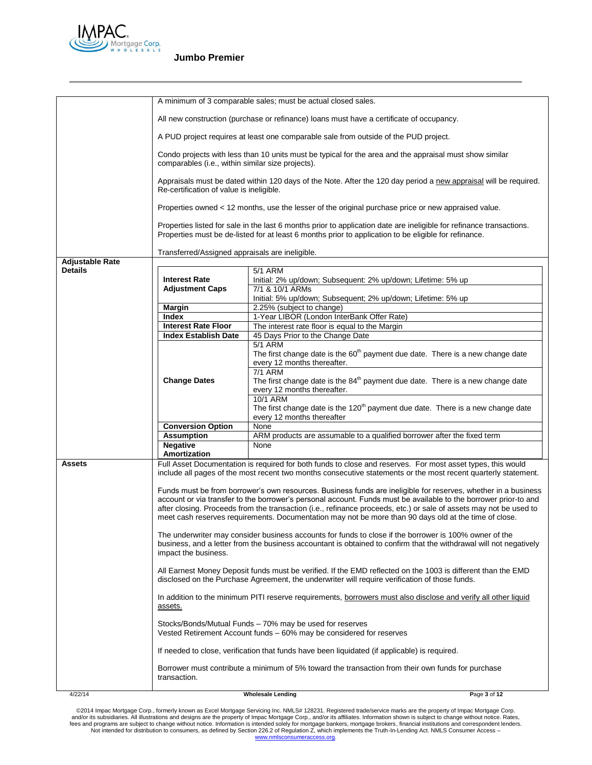

|                        |                                                                                                                                                                                                                                                                                                                                                                                                                                                                   | A minimum of 3 comparable sales; must be actual closed sales.                                                                                                                                                                 |              |  |
|------------------------|-------------------------------------------------------------------------------------------------------------------------------------------------------------------------------------------------------------------------------------------------------------------------------------------------------------------------------------------------------------------------------------------------------------------------------------------------------------------|-------------------------------------------------------------------------------------------------------------------------------------------------------------------------------------------------------------------------------|--------------|--|
|                        | All new construction (purchase or refinance) loans must have a certificate of occupancy.                                                                                                                                                                                                                                                                                                                                                                          |                                                                                                                                                                                                                               |              |  |
|                        |                                                                                                                                                                                                                                                                                                                                                                                                                                                                   | A PUD project requires at least one comparable sale from outside of the PUD project.                                                                                                                                          |              |  |
|                        | Condo projects with less than 10 units must be typical for the area and the appraisal must show similar<br>comparables (i.e., within similar size projects).                                                                                                                                                                                                                                                                                                      |                                                                                                                                                                                                                               |              |  |
|                        | Appraisals must be dated within 120 days of the Note. After the 120 day period a new appraisal will be required.<br>Re-certification of value is ineligible.                                                                                                                                                                                                                                                                                                      |                                                                                                                                                                                                                               |              |  |
|                        | Properties owned < 12 months, use the lesser of the original purchase price or new appraised value.                                                                                                                                                                                                                                                                                                                                                               |                                                                                                                                                                                                                               |              |  |
|                        |                                                                                                                                                                                                                                                                                                                                                                                                                                                                   | Properties listed for sale in the last 6 months prior to application date are ineligible for refinance transactions.<br>Properties must be de-listed for at least 6 months prior to application to be eligible for refinance. |              |  |
|                        | Transferred/Assigned appraisals are ineligible.                                                                                                                                                                                                                                                                                                                                                                                                                   |                                                                                                                                                                                                                               |              |  |
| <b>Adjustable Rate</b> |                                                                                                                                                                                                                                                                                                                                                                                                                                                                   |                                                                                                                                                                                                                               |              |  |
| <b>Details</b>         |                                                                                                                                                                                                                                                                                                                                                                                                                                                                   | 5/1 ARM                                                                                                                                                                                                                       |              |  |
|                        | <b>Interest Rate</b>                                                                                                                                                                                                                                                                                                                                                                                                                                              | Initial: 2% up/down; Subsequent: 2% up/down; Lifetime: 5% up                                                                                                                                                                  |              |  |
|                        | <b>Adjustment Caps</b>                                                                                                                                                                                                                                                                                                                                                                                                                                            | 7/1 & 10/1 ARMs<br>Initial: 5% up/down; Subsequent; 2% up/down; Lifetime: 5% up                                                                                                                                               |              |  |
|                        | <b>Margin</b>                                                                                                                                                                                                                                                                                                                                                                                                                                                     | 2.25% (subject to change)                                                                                                                                                                                                     |              |  |
|                        | Index                                                                                                                                                                                                                                                                                                                                                                                                                                                             | 1-Year LIBOR (London InterBank Offer Rate)                                                                                                                                                                                    |              |  |
|                        | <b>Interest Rate Floor</b>                                                                                                                                                                                                                                                                                                                                                                                                                                        | The interest rate floor is equal to the Margin                                                                                                                                                                                |              |  |
|                        | <b>Index Establish Date</b>                                                                                                                                                                                                                                                                                                                                                                                                                                       | 45 Days Prior to the Change Date                                                                                                                                                                                              |              |  |
|                        |                                                                                                                                                                                                                                                                                                                                                                                                                                                                   | <b>5/1 ARM</b>                                                                                                                                                                                                                |              |  |
|                        |                                                                                                                                                                                                                                                                                                                                                                                                                                                                   | The first change date is the 60 <sup>th</sup> payment due date. There is a new change date                                                                                                                                    |              |  |
|                        |                                                                                                                                                                                                                                                                                                                                                                                                                                                                   | every 12 months thereafter.                                                                                                                                                                                                   |              |  |
|                        |                                                                                                                                                                                                                                                                                                                                                                                                                                                                   | <b>7/1 ARM</b>                                                                                                                                                                                                                |              |  |
|                        | <b>Change Dates</b>                                                                                                                                                                                                                                                                                                                                                                                                                                               | The first change date is the $84th$ payment due date. There is a new change date                                                                                                                                              |              |  |
|                        |                                                                                                                                                                                                                                                                                                                                                                                                                                                                   | every 12 months thereafter.<br><b>10/1 ARM</b>                                                                                                                                                                                |              |  |
|                        |                                                                                                                                                                                                                                                                                                                                                                                                                                                                   | The first change date is the 120 <sup>th</sup> payment due date. There is a new change date                                                                                                                                   |              |  |
|                        |                                                                                                                                                                                                                                                                                                                                                                                                                                                                   | every 12 months thereafter                                                                                                                                                                                                    |              |  |
|                        | <b>Conversion Option</b>                                                                                                                                                                                                                                                                                                                                                                                                                                          | None                                                                                                                                                                                                                          |              |  |
|                        | <b>Assumption</b>                                                                                                                                                                                                                                                                                                                                                                                                                                                 | ARM products are assumable to a qualified borrower after the fixed term                                                                                                                                                       |              |  |
|                        | <b>Negative</b>                                                                                                                                                                                                                                                                                                                                                                                                                                                   | None                                                                                                                                                                                                                          |              |  |
|                        | Amortization                                                                                                                                                                                                                                                                                                                                                                                                                                                      |                                                                                                                                                                                                                               |              |  |
| <b>Assets</b>          |                                                                                                                                                                                                                                                                                                                                                                                                                                                                   | Full Asset Documentation is required for both funds to close and reserves. For most asset types, this would<br>include all pages of the most recent two months consecutive statements or the most recent quarterly statement. |              |  |
|                        | Funds must be from borrower's own resources. Business funds are ineligible for reserves, whether in a business<br>account or via transfer to the borrower's personal account. Funds must be available to the borrower prior-to and<br>after closing. Proceeds from the transaction (i.e., refinance proceeds, etc.) or sale of assets may not be used to<br>meet cash reserves requirements. Documentation may not be more than 90 days old at the time of close. |                                                                                                                                                                                                                               |              |  |
|                        | The underwriter may consider business accounts for funds to close if the borrower is 100% owner of the<br>business, and a letter from the business accountant is obtained to confirm that the withdrawal will not negatively<br>impact the business.                                                                                                                                                                                                              |                                                                                                                                                                                                                               |              |  |
|                        | All Earnest Money Deposit funds must be verified. If the EMD reflected on the 1003 is different than the EMD<br>disclosed on the Purchase Agreement, the underwriter will require verification of those funds.                                                                                                                                                                                                                                                    |                                                                                                                                                                                                                               |              |  |
|                        | In addition to the minimum PITI reserve requirements, borrowers must also disclose and verify all other liquid<br><u>assets.</u>                                                                                                                                                                                                                                                                                                                                  |                                                                                                                                                                                                                               |              |  |
|                        |                                                                                                                                                                                                                                                                                                                                                                                                                                                                   | Stocks/Bonds/Mutual Funds - 70% may be used for reserves<br>Vested Retirement Account funds - 60% may be considered for reserves                                                                                              |              |  |
|                        |                                                                                                                                                                                                                                                                                                                                                                                                                                                                   | If needed to close, verification that funds have been liquidated (if applicable) is required.                                                                                                                                 |              |  |
|                        | transaction.                                                                                                                                                                                                                                                                                                                                                                                                                                                      | Borrower must contribute a minimum of 5% toward the transaction from their own funds for purchase                                                                                                                             |              |  |
| 4/22/14                |                                                                                                                                                                                                                                                                                                                                                                                                                                                                   | <b>Wholesale Lending</b>                                                                                                                                                                                                      | Page 3 of 12 |  |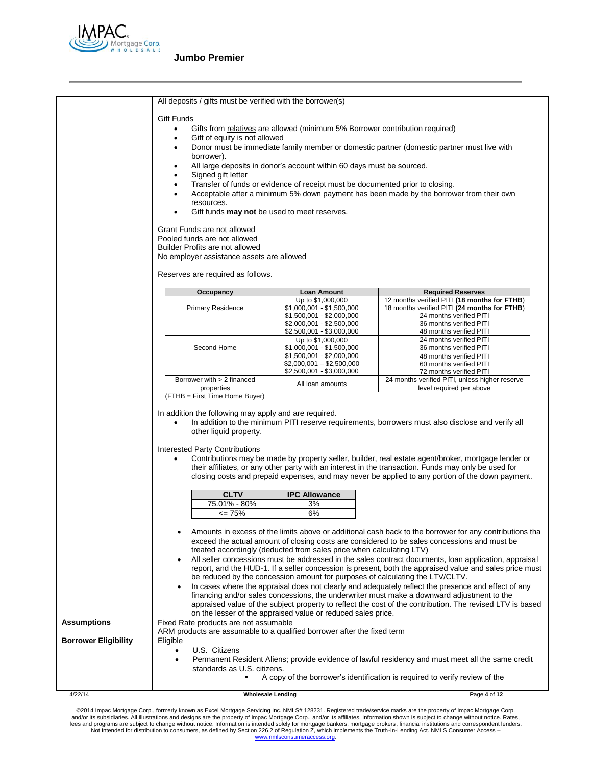

|                             | All deposits / gifts must be verified with the borrower(s)                                                                                                                                                                                                                                                                                        |                                                                              |                                                                                                                                                                                                         |  |  |  |
|-----------------------------|---------------------------------------------------------------------------------------------------------------------------------------------------------------------------------------------------------------------------------------------------------------------------------------------------------------------------------------------------|------------------------------------------------------------------------------|---------------------------------------------------------------------------------------------------------------------------------------------------------------------------------------------------------|--|--|--|
|                             | <b>Gift Funds</b>                                                                                                                                                                                                                                                                                                                                 |                                                                              |                                                                                                                                                                                                         |  |  |  |
|                             | $\bullet$                                                                                                                                                                                                                                                                                                                                         | Gifts from relatives are allowed (minimum 5% Borrower contribution required) |                                                                                                                                                                                                         |  |  |  |
|                             | Gift of equity is not allowed<br>$\bullet$                                                                                                                                                                                                                                                                                                        |                                                                              |                                                                                                                                                                                                         |  |  |  |
|                             | Donor must be immediate family member or domestic partner (domestic partner must live with<br>٠                                                                                                                                                                                                                                                   |                                                                              |                                                                                                                                                                                                         |  |  |  |
|                             | borrower).                                                                                                                                                                                                                                                                                                                                        |                                                                              |                                                                                                                                                                                                         |  |  |  |
|                             | All large deposits in donor's account within 60 days must be sourced.<br>٠                                                                                                                                                                                                                                                                        |                                                                              |                                                                                                                                                                                                         |  |  |  |
|                             | Signed gift letter<br>٠<br>Transfer of funds or evidence of receipt must be documented prior to closing.                                                                                                                                                                                                                                          |                                                                              |                                                                                                                                                                                                         |  |  |  |
|                             | $\bullet$                                                                                                                                                                                                                                                                                                                                         |                                                                              |                                                                                                                                                                                                         |  |  |  |
|                             | Acceptable after a minimum 5% down payment has been made by the borrower from their own<br>resources.                                                                                                                                                                                                                                             |                                                                              |                                                                                                                                                                                                         |  |  |  |
|                             |                                                                                                                                                                                                                                                                                                                                                   | Gift funds <b>may not</b> be used to meet reserves.                          |                                                                                                                                                                                                         |  |  |  |
|                             | Grant Funds are not allowed                                                                                                                                                                                                                                                                                                                       |                                                                              |                                                                                                                                                                                                         |  |  |  |
|                             | Pooled funds are not allowed                                                                                                                                                                                                                                                                                                                      |                                                                              |                                                                                                                                                                                                         |  |  |  |
|                             | Builder Profits are not allowed                                                                                                                                                                                                                                                                                                                   |                                                                              |                                                                                                                                                                                                         |  |  |  |
|                             | No employer assistance assets are allowed                                                                                                                                                                                                                                                                                                         |                                                                              |                                                                                                                                                                                                         |  |  |  |
|                             | Reserves are required as follows.                                                                                                                                                                                                                                                                                                                 |                                                                              |                                                                                                                                                                                                         |  |  |  |
|                             | Occupancy                                                                                                                                                                                                                                                                                                                                         | Loan Amount                                                                  | <b>Required Reserves</b>                                                                                                                                                                                |  |  |  |
|                             | <b>Primary Residence</b>                                                                                                                                                                                                                                                                                                                          | Up to \$1,000,000<br>$$1,000,001 - $1,500,000$                               | 12 months verified PITI (18 months for FTHB)<br>18 months verified PITI (24 months for FTHB)                                                                                                            |  |  |  |
|                             |                                                                                                                                                                                                                                                                                                                                                   | $$1,500,001 - $2,000,000$                                                    | 24 months verified PITI                                                                                                                                                                                 |  |  |  |
|                             |                                                                                                                                                                                                                                                                                                                                                   | $$2,000,001 - $2,500,000$                                                    | 36 months verified PITI                                                                                                                                                                                 |  |  |  |
|                             |                                                                                                                                                                                                                                                                                                                                                   | \$2,500,001 - \$3,000,000<br>Up to \$1,000,000                               | 48 months verified PITI<br>24 months verified PITI                                                                                                                                                      |  |  |  |
|                             | Second Home                                                                                                                                                                                                                                                                                                                                       | $$1,000,001 - $1,500,000$                                                    | 36 months verified PITI                                                                                                                                                                                 |  |  |  |
|                             |                                                                                                                                                                                                                                                                                                                                                   | \$1,500,001 - \$2,000,000                                                    | 48 months verified PITI                                                                                                                                                                                 |  |  |  |
|                             |                                                                                                                                                                                                                                                                                                                                                   | $$2,000,001 - $2,500,000$<br>\$2,500,001 - \$3,000,000                       | 60 months verified PITI                                                                                                                                                                                 |  |  |  |
|                             | Borrower with > 2 financed                                                                                                                                                                                                                                                                                                                        |                                                                              | 72 months verified PITI<br>24 months verified PITI, unless higher reserve                                                                                                                               |  |  |  |
|                             | properties                                                                                                                                                                                                                                                                                                                                        | All loan amounts                                                             | level required per above                                                                                                                                                                                |  |  |  |
|                             | (FTHB = First Time Home Buyer)                                                                                                                                                                                                                                                                                                                    |                                                                              |                                                                                                                                                                                                         |  |  |  |
|                             | In addition the following may apply and are required.<br>other liquid property.                                                                                                                                                                                                                                                                   |                                                                              | In addition to the minimum PITI reserve requirements, borrowers must also disclose and verify all                                                                                                       |  |  |  |
|                             |                                                                                                                                                                                                                                                                                                                                                   |                                                                              |                                                                                                                                                                                                         |  |  |  |
|                             | Interested Party Contributions<br>Contributions may be made by property seller, builder, real estate agent/broker, mortgage lender or<br>their affiliates, or any other party with an interest in the transaction. Funds may only be used for<br>closing costs and prepaid expenses, and may never be applied to any portion of the down payment. |                                                                              |                                                                                                                                                                                                         |  |  |  |
|                             | <b>CLTV</b>                                                                                                                                                                                                                                                                                                                                       | <b>IPC Allowance</b>                                                         |                                                                                                                                                                                                         |  |  |  |
|                             | 75.01% - 80%                                                                                                                                                                                                                                                                                                                                      | 3%                                                                           |                                                                                                                                                                                                         |  |  |  |
|                             | $\leq$ 75%                                                                                                                                                                                                                                                                                                                                        | 6%                                                                           |                                                                                                                                                                                                         |  |  |  |
|                             | $\bullet$                                                                                                                                                                                                                                                                                                                                         | treated accordingly (deducted from sales price when calculating LTV)         | Amounts in excess of the limits above or additional cash back to the borrower for any contributions tha<br>exceed the actual amount of closing costs are considered to be sales concessions and must be |  |  |  |
|                             | $\bullet$                                                                                                                                                                                                                                                                                                                                         |                                                                              | All seller concessions must be addressed in the sales contract documents, loan application, appraisal                                                                                                   |  |  |  |
|                             |                                                                                                                                                                                                                                                                                                                                                   |                                                                              | report, and the HUD-1. If a seller concession is present, both the appraised value and sales price must                                                                                                 |  |  |  |
|                             |                                                                                                                                                                                                                                                                                                                                                   |                                                                              | be reduced by the concession amount for purposes of calculating the LTV/CLTV.                                                                                                                           |  |  |  |
|                             | $\bullet$                                                                                                                                                                                                                                                                                                                                         |                                                                              | In cases where the appraisal does not clearly and adequately reflect the presence and effect of any<br>financing and/or sales concessions, the underwriter must make a downward adjustment to the       |  |  |  |
|                             |                                                                                                                                                                                                                                                                                                                                                   |                                                                              | appraised value of the subject property to reflect the cost of the contribution. The revised LTV is based                                                                                               |  |  |  |
|                             |                                                                                                                                                                                                                                                                                                                                                   | on the lesser of the appraised value or reduced sales price.                 |                                                                                                                                                                                                         |  |  |  |
| <b>Assumptions</b>          | Fixed Rate products are not assumable                                                                                                                                                                                                                                                                                                             |                                                                              |                                                                                                                                                                                                         |  |  |  |
|                             | ARM products are assumable to a qualified borrower after the fixed term                                                                                                                                                                                                                                                                           |                                                                              |                                                                                                                                                                                                         |  |  |  |
| <b>Borrower Eligibility</b> | Eligible                                                                                                                                                                                                                                                                                                                                          |                                                                              |                                                                                                                                                                                                         |  |  |  |
|                             | U.S. Citizens                                                                                                                                                                                                                                                                                                                                     |                                                                              |                                                                                                                                                                                                         |  |  |  |
|                             | $\bullet$<br>standards as U.S. citizens.                                                                                                                                                                                                                                                                                                          |                                                                              | Permanent Resident Aliens; provide evidence of lawful residency and must meet all the same credit                                                                                                       |  |  |  |
|                             |                                                                                                                                                                                                                                                                                                                                                   |                                                                              | A copy of the borrower's identification is required to verify review of the                                                                                                                             |  |  |  |
|                             |                                                                                                                                                                                                                                                                                                                                                   |                                                                              |                                                                                                                                                                                                         |  |  |  |
| 4/22/14                     |                                                                                                                                                                                                                                                                                                                                                   | <b>Wholesale Lending</b>                                                     | Page 4 of 12                                                                                                                                                                                            |  |  |  |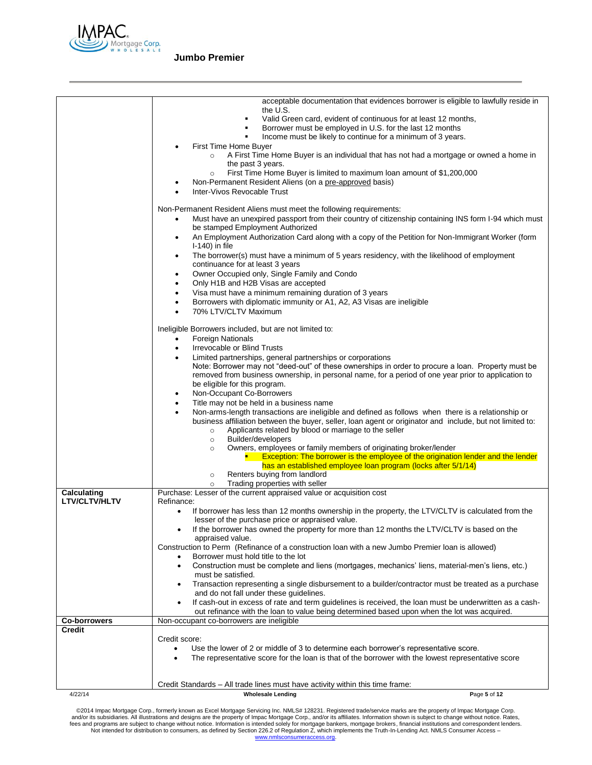

|                                     | acceptable documentation that evidences borrower is eligible to lawfully reside in<br>the U.S.<br>Valid Green card, evident of continuous for at least 12 months,<br>Borrower must be employed in U.S. for the last 12 months<br>Income must be likely to continue for a minimum of 3 years.<br>First Time Home Buyer<br>A First Time Home Buyer is an individual that has not had a mortgage or owned a home in<br>$\circ$<br>the past 3 years.<br>First Time Home Buyer is limited to maximum loan amount of \$1,200,000<br>$\circ$<br>Non-Permanent Resident Aliens (on a pre-approved basis)<br>٠<br>Inter-Vivos Revocable Trust<br>Non-Permanent Resident Aliens must meet the following requirements:<br>Must have an unexpired passport from their country of citizenship containing INS form I-94 which must<br>$\bullet$<br>be stamped Employment Authorized<br>An Employment Authorization Card along with a copy of the Petition for Non-Immigrant Worker (form<br>٠<br>$I-140$ ) in file<br>The borrower(s) must have a minimum of 5 years residency, with the likelihood of employment<br>٠<br>continuance for at least 3 years<br>Owner Occupied only, Single Family and Condo<br>$\bullet$<br>Only H1B and H2B Visas are accepted<br>$\bullet$<br>Visa must have a minimum remaining duration of 3 years<br>$\bullet$<br>Borrowers with diplomatic immunity or A1, A2, A3 Visas are ineligible<br>٠<br>70% LTV/CLTV Maximum<br>$\bullet$<br>Ineligible Borrowers included, but are not limited to:<br><b>Foreign Nationals</b><br>$\bullet$<br>Irrevocable or Blind Trusts<br>$\bullet$<br>Limited partnerships, general partnerships or corporations<br>٠<br>Note: Borrower may not "deed-out" of these ownerships in order to procure a loan. Property must be<br>removed from business ownership, in personal name, for a period of one year prior to application to<br>be eligible for this program.<br>Non-Occupant Co-Borrowers<br>$\bullet$<br>Title may not be held in a business name<br>$\bullet$<br>Non-arms-length transactions are ineligible and defined as follows when there is a relationship or<br>٠<br>business affiliation between the buyer, seller, loan agent or originator and include, but not limited to:<br>Applicants related by blood or marriage to the seller<br>$\circ$<br>Builder/developers<br>$\circ$<br>Owners, employees or family members of originating broker/lender<br>$\circ$ |              |
|-------------------------------------|----------------------------------------------------------------------------------------------------------------------------------------------------------------------------------------------------------------------------------------------------------------------------------------------------------------------------------------------------------------------------------------------------------------------------------------------------------------------------------------------------------------------------------------------------------------------------------------------------------------------------------------------------------------------------------------------------------------------------------------------------------------------------------------------------------------------------------------------------------------------------------------------------------------------------------------------------------------------------------------------------------------------------------------------------------------------------------------------------------------------------------------------------------------------------------------------------------------------------------------------------------------------------------------------------------------------------------------------------------------------------------------------------------------------------------------------------------------------------------------------------------------------------------------------------------------------------------------------------------------------------------------------------------------------------------------------------------------------------------------------------------------------------------------------------------------------------------------------------------------------------------------------------------------------------------------------------------------------------------------------------------------------------------------------------------------------------------------------------------------------------------------------------------------------------------------------------------------------------------------------------------------------------------------------------------------------------------------------------------------------------------------------------------------------------------------|--------------|
|                                     | Exception: The borrower is the employee of the origination lender and the lender<br>has an established employee loan program (locks after 5/1/14)                                                                                                                                                                                                                                                                                                                                                                                                                                                                                                                                                                                                                                                                                                                                                                                                                                                                                                                                                                                                                                                                                                                                                                                                                                                                                                                                                                                                                                                                                                                                                                                                                                                                                                                                                                                                                                                                                                                                                                                                                                                                                                                                                                                                                                                                                      |              |
|                                     | Renters buying from landlord<br>$\circ$                                                                                                                                                                                                                                                                                                                                                                                                                                                                                                                                                                                                                                                                                                                                                                                                                                                                                                                                                                                                                                                                                                                                                                                                                                                                                                                                                                                                                                                                                                                                                                                                                                                                                                                                                                                                                                                                                                                                                                                                                                                                                                                                                                                                                                                                                                                                                                                                |              |
|                                     | Trading properties with seller<br>$\circ$                                                                                                                                                                                                                                                                                                                                                                                                                                                                                                                                                                                                                                                                                                                                                                                                                                                                                                                                                                                                                                                                                                                                                                                                                                                                                                                                                                                                                                                                                                                                                                                                                                                                                                                                                                                                                                                                                                                                                                                                                                                                                                                                                                                                                                                                                                                                                                                              |              |
| Calculating<br><b>LTV/CLTV/HLTV</b> | Purchase: Lesser of the current appraised value or acquisition cost<br>Refinance:                                                                                                                                                                                                                                                                                                                                                                                                                                                                                                                                                                                                                                                                                                                                                                                                                                                                                                                                                                                                                                                                                                                                                                                                                                                                                                                                                                                                                                                                                                                                                                                                                                                                                                                                                                                                                                                                                                                                                                                                                                                                                                                                                                                                                                                                                                                                                      |              |
|                                     | If borrower has less than 12 months ownership in the property, the LTV/CLTV is calculated from the<br>٠<br>lesser of the purchase price or appraised value.                                                                                                                                                                                                                                                                                                                                                                                                                                                                                                                                                                                                                                                                                                                                                                                                                                                                                                                                                                                                                                                                                                                                                                                                                                                                                                                                                                                                                                                                                                                                                                                                                                                                                                                                                                                                                                                                                                                                                                                                                                                                                                                                                                                                                                                                            |              |
|                                     | If the borrower has owned the property for more than 12 months the LTV/CLTV is based on the<br>appraised value.<br>Construction to Perm (Refinance of a construction loan with a new Jumbo Premier loan is allowed)                                                                                                                                                                                                                                                                                                                                                                                                                                                                                                                                                                                                                                                                                                                                                                                                                                                                                                                                                                                                                                                                                                                                                                                                                                                                                                                                                                                                                                                                                                                                                                                                                                                                                                                                                                                                                                                                                                                                                                                                                                                                                                                                                                                                                    |              |
|                                     | Borrower must hold title to the lot                                                                                                                                                                                                                                                                                                                                                                                                                                                                                                                                                                                                                                                                                                                                                                                                                                                                                                                                                                                                                                                                                                                                                                                                                                                                                                                                                                                                                                                                                                                                                                                                                                                                                                                                                                                                                                                                                                                                                                                                                                                                                                                                                                                                                                                                                                                                                                                                    |              |
|                                     | Construction must be complete and liens (mortgages, mechanics' liens, material-men's liens, etc.)<br>٠                                                                                                                                                                                                                                                                                                                                                                                                                                                                                                                                                                                                                                                                                                                                                                                                                                                                                                                                                                                                                                                                                                                                                                                                                                                                                                                                                                                                                                                                                                                                                                                                                                                                                                                                                                                                                                                                                                                                                                                                                                                                                                                                                                                                                                                                                                                                 |              |
|                                     | must be satisfied.<br>Transaction representing a single disbursement to a builder/contractor must be treated as a purchase<br>$\bullet$<br>and do not fall under these guidelines.                                                                                                                                                                                                                                                                                                                                                                                                                                                                                                                                                                                                                                                                                                                                                                                                                                                                                                                                                                                                                                                                                                                                                                                                                                                                                                                                                                                                                                                                                                                                                                                                                                                                                                                                                                                                                                                                                                                                                                                                                                                                                                                                                                                                                                                     |              |
|                                     | If cash-out in excess of rate and term quidelines is received, the loan must be underwritten as a cash-<br>$\bullet$<br>out refinance with the loan to value being determined based upon when the lot was acquired.                                                                                                                                                                                                                                                                                                                                                                                                                                                                                                                                                                                                                                                                                                                                                                                                                                                                                                                                                                                                                                                                                                                                                                                                                                                                                                                                                                                                                                                                                                                                                                                                                                                                                                                                                                                                                                                                                                                                                                                                                                                                                                                                                                                                                    |              |
| <b>Co-borrowers</b>                 | Non-occupant co-borrowers are ineligible                                                                                                                                                                                                                                                                                                                                                                                                                                                                                                                                                                                                                                                                                                                                                                                                                                                                                                                                                                                                                                                                                                                                                                                                                                                                                                                                                                                                                                                                                                                                                                                                                                                                                                                                                                                                                                                                                                                                                                                                                                                                                                                                                                                                                                                                                                                                                                                               |              |
| <b>Credit</b>                       | Credit score:                                                                                                                                                                                                                                                                                                                                                                                                                                                                                                                                                                                                                                                                                                                                                                                                                                                                                                                                                                                                                                                                                                                                                                                                                                                                                                                                                                                                                                                                                                                                                                                                                                                                                                                                                                                                                                                                                                                                                                                                                                                                                                                                                                                                                                                                                                                                                                                                                          |              |
|                                     | Use the lower of 2 or middle of 3 to determine each borrower's representative score.                                                                                                                                                                                                                                                                                                                                                                                                                                                                                                                                                                                                                                                                                                                                                                                                                                                                                                                                                                                                                                                                                                                                                                                                                                                                                                                                                                                                                                                                                                                                                                                                                                                                                                                                                                                                                                                                                                                                                                                                                                                                                                                                                                                                                                                                                                                                                   |              |
|                                     | The representative score for the loan is that of the borrower with the lowest representative score<br>$\bullet$                                                                                                                                                                                                                                                                                                                                                                                                                                                                                                                                                                                                                                                                                                                                                                                                                                                                                                                                                                                                                                                                                                                                                                                                                                                                                                                                                                                                                                                                                                                                                                                                                                                                                                                                                                                                                                                                                                                                                                                                                                                                                                                                                                                                                                                                                                                        |              |
|                                     |                                                                                                                                                                                                                                                                                                                                                                                                                                                                                                                                                                                                                                                                                                                                                                                                                                                                                                                                                                                                                                                                                                                                                                                                                                                                                                                                                                                                                                                                                                                                                                                                                                                                                                                                                                                                                                                                                                                                                                                                                                                                                                                                                                                                                                                                                                                                                                                                                                        |              |
|                                     | Credit Standards - All trade lines must have activity within this time frame:                                                                                                                                                                                                                                                                                                                                                                                                                                                                                                                                                                                                                                                                                                                                                                                                                                                                                                                                                                                                                                                                                                                                                                                                                                                                                                                                                                                                                                                                                                                                                                                                                                                                                                                                                                                                                                                                                                                                                                                                                                                                                                                                                                                                                                                                                                                                                          |              |
| 4/22/14                             | <b>Wholesale Lending</b>                                                                                                                                                                                                                                                                                                                                                                                                                                                                                                                                                                                                                                                                                                                                                                                                                                                                                                                                                                                                                                                                                                                                                                                                                                                                                                                                                                                                                                                                                                                                                                                                                                                                                                                                                                                                                                                                                                                                                                                                                                                                                                                                                                                                                                                                                                                                                                                                               | Page 5 of 12 |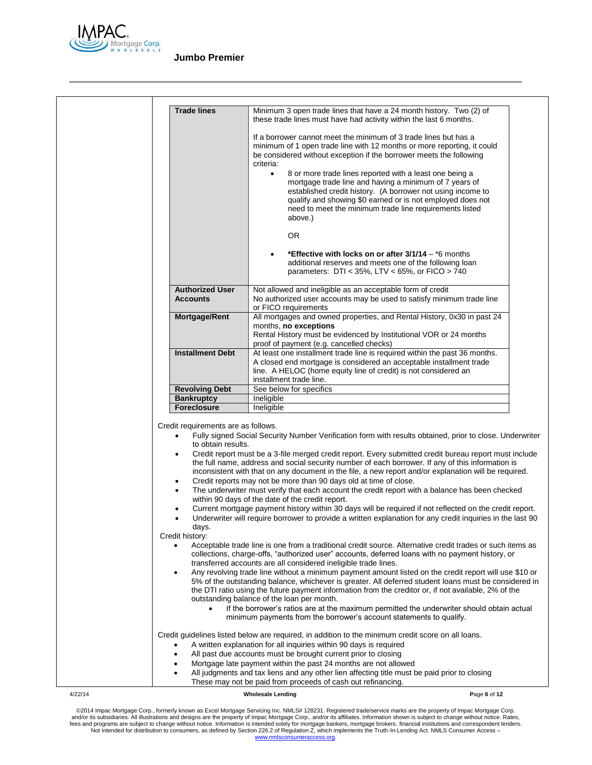

| <b>Trade lines</b>                                                                                                                     | Minimum 3 open trade lines that have a 24 month history. Two (2) of                                                                                                                                                                                                                                                                                                                                                                                                                                                                                                                                                                                                                                                                                                                                                                                                                                                                                                                                                                                                                                                                                                                                                                                                                 |
|----------------------------------------------------------------------------------------------------------------------------------------|-------------------------------------------------------------------------------------------------------------------------------------------------------------------------------------------------------------------------------------------------------------------------------------------------------------------------------------------------------------------------------------------------------------------------------------------------------------------------------------------------------------------------------------------------------------------------------------------------------------------------------------------------------------------------------------------------------------------------------------------------------------------------------------------------------------------------------------------------------------------------------------------------------------------------------------------------------------------------------------------------------------------------------------------------------------------------------------------------------------------------------------------------------------------------------------------------------------------------------------------------------------------------------------|
|                                                                                                                                        | these trade lines must have had activity within the last 6 months.                                                                                                                                                                                                                                                                                                                                                                                                                                                                                                                                                                                                                                                                                                                                                                                                                                                                                                                                                                                                                                                                                                                                                                                                                  |
|                                                                                                                                        | If a borrower cannot meet the minimum of 3 trade lines but has a<br>minimum of 1 open trade line with 12 months or more reporting, it could<br>be considered without exception if the borrower meets the following<br>criteria:                                                                                                                                                                                                                                                                                                                                                                                                                                                                                                                                                                                                                                                                                                                                                                                                                                                                                                                                                                                                                                                     |
|                                                                                                                                        | 8 or more trade lines reported with a least one being a<br>$\bullet$<br>mortgage trade line and having a minimum of 7 years of<br>established credit history. (A borrower not using income to<br>qualify and showing \$0 earned or is not employed does not<br>need to meet the minimum trade line requirements listed<br>above.)                                                                                                                                                                                                                                                                                                                                                                                                                                                                                                                                                                                                                                                                                                                                                                                                                                                                                                                                                   |
|                                                                                                                                        | <b>OR</b>                                                                                                                                                                                                                                                                                                                                                                                                                                                                                                                                                                                                                                                                                                                                                                                                                                                                                                                                                                                                                                                                                                                                                                                                                                                                           |
|                                                                                                                                        | *Effective with locks on or after 3/1/14 – *6 months<br>additional reserves and meets one of the following loan<br>parameters: $DTI < 35\%$ , LTV < 65%, or FICO > 740                                                                                                                                                                                                                                                                                                                                                                                                                                                                                                                                                                                                                                                                                                                                                                                                                                                                                                                                                                                                                                                                                                              |
| <b>Authorized User</b><br><b>Accounts</b>                                                                                              | Not allowed and ineligible as an acceptable form of credit<br>No authorized user accounts may be used to satisfy minimum trade line<br>or FICO requirements                                                                                                                                                                                                                                                                                                                                                                                                                                                                                                                                                                                                                                                                                                                                                                                                                                                                                                                                                                                                                                                                                                                         |
| Mortgage/Rent                                                                                                                          | All mortgages and owned properties, and Rental History, 0x30 in past 24<br>months, no exceptions<br>Rental History must be evidenced by Institutional VOR or 24 months                                                                                                                                                                                                                                                                                                                                                                                                                                                                                                                                                                                                                                                                                                                                                                                                                                                                                                                                                                                                                                                                                                              |
| <b>Installment Debt</b>                                                                                                                | proof of payment (e.g. cancelled checks)<br>At least one installment trade line is required within the past 36 months.<br>A closed end mortgage is considered an acceptable installment trade<br>line. A HELOC (home equity line of credit) is not considered an<br>installment trade line.                                                                                                                                                                                                                                                                                                                                                                                                                                                                                                                                                                                                                                                                                                                                                                                                                                                                                                                                                                                         |
| <b>Revolving Debt</b>                                                                                                                  | See below for specifics                                                                                                                                                                                                                                                                                                                                                                                                                                                                                                                                                                                                                                                                                                                                                                                                                                                                                                                                                                                                                                                                                                                                                                                                                                                             |
| <b>Bankruptcy</b>                                                                                                                      | Ineligible                                                                                                                                                                                                                                                                                                                                                                                                                                                                                                                                                                                                                                                                                                                                                                                                                                                                                                                                                                                                                                                                                                                                                                                                                                                                          |
| <b>Foreclosure</b>                                                                                                                     | Ineligible                                                                                                                                                                                                                                                                                                                                                                                                                                                                                                                                                                                                                                                                                                                                                                                                                                                                                                                                                                                                                                                                                                                                                                                                                                                                          |
| Credit requirements are as follows.<br>$\bullet$<br>to obtain results.<br>٠<br>٠<br>$\bullet$<br>$\bullet$<br>aays.<br>Credit history: | Fully signed Social Security Number Verification form with results obtained, prior to close. Underwriter<br>Credit report must be a 3-file merged credit report. Every submitted credit bureau report must include<br>the full name, address and social security number of each borrower. If any of this information is<br>inconsistent with that on any document in the file, a new report and/or explanation will be required.<br>Credit reports may not be more than 90 days old at time of close.<br>The underwriter must verify that each account the credit report with a balance has been checked<br>within 90 days of the date of the credit report.<br>Current mortgage payment history within 30 days will be required if not reflected on the credit report.<br>Underwriter will require borrower to provide a written explanation for any credit inquiries in the last 90<br>Acceptable trade line is one from a traditional credit source. Alternative credit trades or such items as<br>collections, charge-offs, "authorized user" accounts, deferred loans with no payment history, or<br>transferred accounts are all considered ineligible trade lines.<br>Any revolving trade line without a minimum payment amount listed on the credit report will use \$10 or |
| $\bullet$                                                                                                                              | 5% of the outstanding balance, whichever is greater. All deferred student loans must be considered in<br>the DTI ratio using the future payment information from the creditor or, if not available, 2% of the<br>outstanding balance of the loan per month.<br>If the borrower's ratios are at the maximum permitted the underwriter should obtain actual<br>minimum payments from the borrower's account statements to qualify.                                                                                                                                                                                                                                                                                                                                                                                                                                                                                                                                                                                                                                                                                                                                                                                                                                                    |
|                                                                                                                                        | Credit guidelines listed below are required, in addition to the minimum credit score on all loans.<br>A written explanation for all inquiries within 90 days is required<br>All past due accounts must be brought current prior to closing<br>Mortgage late payment within the past 24 months are not allowed                                                                                                                                                                                                                                                                                                                                                                                                                                                                                                                                                                                                                                                                                                                                                                                                                                                                                                                                                                       |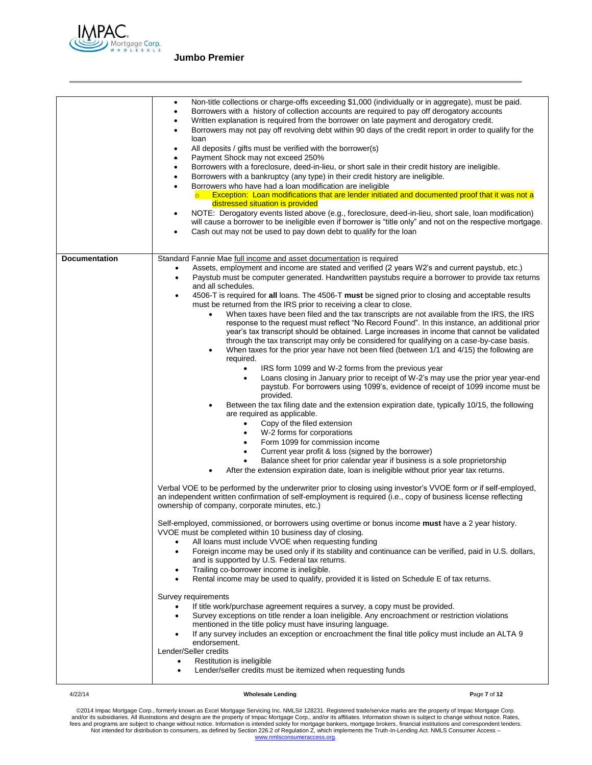

|                      | Non-title collections or charge-offs exceeding \$1,000 (individually or in aggregate), must be paid.<br>$\bullet$<br>Borrowers with a history of collection accounts are required to pay off derogatory accounts<br>٠<br>Written explanation is required from the borrower on late payment and derogatory credit.<br>Borrowers may not pay off revolving debt within 90 days of the credit report in order to qualify for the<br>$\bullet$<br>loan<br>All deposits / gifts must be verified with the borrower(s)<br>٠<br>Payment Shock may not exceed 250%<br>٠<br>Borrowers with a foreclosure, deed-in-lieu, or short sale in their credit history are ineligible.<br>Borrowers with a bankruptcy (any type) in their credit history are ineligible.<br>Borrowers who have had a loan modification are ineligible<br>Exception: Loan modifications that are lender initiated and documented proof that it was not a<br>distressed situation is provided<br>NOTE: Derogatory events listed above (e.g., foreclosure, deed-in-lieu, short sale, loan modification)<br>٠<br>will cause a borrower to be ineligible even if borrower is "title only" and not on the respective mortgage.<br>Cash out may not be used to pay down debt to qualify for the loan |
|----------------------|-------------------------------------------------------------------------------------------------------------------------------------------------------------------------------------------------------------------------------------------------------------------------------------------------------------------------------------------------------------------------------------------------------------------------------------------------------------------------------------------------------------------------------------------------------------------------------------------------------------------------------------------------------------------------------------------------------------------------------------------------------------------------------------------------------------------------------------------------------------------------------------------------------------------------------------------------------------------------------------------------------------------------------------------------------------------------------------------------------------------------------------------------------------------------------------------------------------------------------------------------------------|
| <b>Documentation</b> | Standard Fannie Mae full income and asset documentation is required                                                                                                                                                                                                                                                                                                                                                                                                                                                                                                                                                                                                                                                                                                                                                                                                                                                                                                                                                                                                                                                                                                                                                                                         |
|                      | Assets, employment and income are stated and verified (2 years W2's and current paystub, etc.)<br>٠                                                                                                                                                                                                                                                                                                                                                                                                                                                                                                                                                                                                                                                                                                                                                                                                                                                                                                                                                                                                                                                                                                                                                         |
|                      | Paystub must be computer generated. Handwritten paystubs require a borrower to provide tax returns<br>$\bullet$<br>and all schedules.                                                                                                                                                                                                                                                                                                                                                                                                                                                                                                                                                                                                                                                                                                                                                                                                                                                                                                                                                                                                                                                                                                                       |
|                      | 4506-T is required for all loans. The 4506-T must be signed prior to closing and acceptable results<br>٠                                                                                                                                                                                                                                                                                                                                                                                                                                                                                                                                                                                                                                                                                                                                                                                                                                                                                                                                                                                                                                                                                                                                                    |
|                      | must be returned from the IRS prior to receiving a clear to close.                                                                                                                                                                                                                                                                                                                                                                                                                                                                                                                                                                                                                                                                                                                                                                                                                                                                                                                                                                                                                                                                                                                                                                                          |
|                      | When taxes have been filed and the tax transcripts are not available from the IRS, the IRS<br>$\bullet$                                                                                                                                                                                                                                                                                                                                                                                                                                                                                                                                                                                                                                                                                                                                                                                                                                                                                                                                                                                                                                                                                                                                                     |
|                      | response to the request must reflect "No Record Found". In this instance, an additional prior                                                                                                                                                                                                                                                                                                                                                                                                                                                                                                                                                                                                                                                                                                                                                                                                                                                                                                                                                                                                                                                                                                                                                               |
|                      | year's tax transcript should be obtained. Large increases in income that cannot be validated<br>through the tax transcript may only be considered for qualifying on a case-by-case basis.                                                                                                                                                                                                                                                                                                                                                                                                                                                                                                                                                                                                                                                                                                                                                                                                                                                                                                                                                                                                                                                                   |
|                      | When taxes for the prior year have not been filed (between 1/1 and 4/15) the following are<br>$\bullet$                                                                                                                                                                                                                                                                                                                                                                                                                                                                                                                                                                                                                                                                                                                                                                                                                                                                                                                                                                                                                                                                                                                                                     |
|                      | required.                                                                                                                                                                                                                                                                                                                                                                                                                                                                                                                                                                                                                                                                                                                                                                                                                                                                                                                                                                                                                                                                                                                                                                                                                                                   |
|                      | IRS form 1099 and W-2 forms from the previous year<br>$\bullet$                                                                                                                                                                                                                                                                                                                                                                                                                                                                                                                                                                                                                                                                                                                                                                                                                                                                                                                                                                                                                                                                                                                                                                                             |
|                      | Loans closing in January prior to receipt of W-2's may use the prior year year-end<br>$\bullet$<br>paystub. For borrowers using 1099's, evidence of receipt of 1099 income must be                                                                                                                                                                                                                                                                                                                                                                                                                                                                                                                                                                                                                                                                                                                                                                                                                                                                                                                                                                                                                                                                          |
|                      | provided.                                                                                                                                                                                                                                                                                                                                                                                                                                                                                                                                                                                                                                                                                                                                                                                                                                                                                                                                                                                                                                                                                                                                                                                                                                                   |
|                      | Between the tax filing date and the extension expiration date, typically 10/15, the following                                                                                                                                                                                                                                                                                                                                                                                                                                                                                                                                                                                                                                                                                                                                                                                                                                                                                                                                                                                                                                                                                                                                                               |
|                      | are required as applicable.                                                                                                                                                                                                                                                                                                                                                                                                                                                                                                                                                                                                                                                                                                                                                                                                                                                                                                                                                                                                                                                                                                                                                                                                                                 |
|                      | Copy of the filed extension<br>$\bullet$<br>W-2 forms for corporations<br>٠                                                                                                                                                                                                                                                                                                                                                                                                                                                                                                                                                                                                                                                                                                                                                                                                                                                                                                                                                                                                                                                                                                                                                                                 |
|                      | Form 1099 for commission income<br>٠                                                                                                                                                                                                                                                                                                                                                                                                                                                                                                                                                                                                                                                                                                                                                                                                                                                                                                                                                                                                                                                                                                                                                                                                                        |
|                      | Current year profit & loss (signed by the borrower)                                                                                                                                                                                                                                                                                                                                                                                                                                                                                                                                                                                                                                                                                                                                                                                                                                                                                                                                                                                                                                                                                                                                                                                                         |
|                      | Balance sheet for prior calendar year if business is a sole proprietorship                                                                                                                                                                                                                                                                                                                                                                                                                                                                                                                                                                                                                                                                                                                                                                                                                                                                                                                                                                                                                                                                                                                                                                                  |
|                      | After the extension expiration date, loan is ineligible without prior year tax returns.                                                                                                                                                                                                                                                                                                                                                                                                                                                                                                                                                                                                                                                                                                                                                                                                                                                                                                                                                                                                                                                                                                                                                                     |
|                      | Verbal VOE to be performed by the underwriter prior to closing using investor's VVOE form or if self-employed,<br>an independent written confirmation of self-employment is required (i.e., copy of business license reflecting<br>ownership of company, corporate minutes, etc.)                                                                                                                                                                                                                                                                                                                                                                                                                                                                                                                                                                                                                                                                                                                                                                                                                                                                                                                                                                           |
|                      | Self-employed, commissioned, or borrowers using overtime or bonus income <b>must</b> have a 2 year history.<br>VVOE must be completed within 10 business day of closing.                                                                                                                                                                                                                                                                                                                                                                                                                                                                                                                                                                                                                                                                                                                                                                                                                                                                                                                                                                                                                                                                                    |
|                      | All loans must include VVOE when requesting funding                                                                                                                                                                                                                                                                                                                                                                                                                                                                                                                                                                                                                                                                                                                                                                                                                                                                                                                                                                                                                                                                                                                                                                                                         |
|                      | Foreign income may be used only if its stability and continuance can be verified, paid in U.S. dollars,<br>and is supported by U.S. Federal tax returns.                                                                                                                                                                                                                                                                                                                                                                                                                                                                                                                                                                                                                                                                                                                                                                                                                                                                                                                                                                                                                                                                                                    |
|                      | Trailing co-borrower income is ineligible.<br>٠                                                                                                                                                                                                                                                                                                                                                                                                                                                                                                                                                                                                                                                                                                                                                                                                                                                                                                                                                                                                                                                                                                                                                                                                             |
|                      | Rental income may be used to qualify, provided it is listed on Schedule E of tax returns.                                                                                                                                                                                                                                                                                                                                                                                                                                                                                                                                                                                                                                                                                                                                                                                                                                                                                                                                                                                                                                                                                                                                                                   |
|                      | Survey requirements                                                                                                                                                                                                                                                                                                                                                                                                                                                                                                                                                                                                                                                                                                                                                                                                                                                                                                                                                                                                                                                                                                                                                                                                                                         |
|                      | If title work/purchase agreement requires a survey, a copy must be provided.<br>٠                                                                                                                                                                                                                                                                                                                                                                                                                                                                                                                                                                                                                                                                                                                                                                                                                                                                                                                                                                                                                                                                                                                                                                           |
|                      | Survey exceptions on title render a loan ineligible. Any encroachment or restriction violations<br>٠                                                                                                                                                                                                                                                                                                                                                                                                                                                                                                                                                                                                                                                                                                                                                                                                                                                                                                                                                                                                                                                                                                                                                        |
|                      | mentioned in the title policy must have insuring language.                                                                                                                                                                                                                                                                                                                                                                                                                                                                                                                                                                                                                                                                                                                                                                                                                                                                                                                                                                                                                                                                                                                                                                                                  |
|                      | If any survey includes an exception or encroachment the final title policy must include an ALTA 9<br>endorsement.                                                                                                                                                                                                                                                                                                                                                                                                                                                                                                                                                                                                                                                                                                                                                                                                                                                                                                                                                                                                                                                                                                                                           |
|                      | Lender/Seller credits                                                                                                                                                                                                                                                                                                                                                                                                                                                                                                                                                                                                                                                                                                                                                                                                                                                                                                                                                                                                                                                                                                                                                                                                                                       |
|                      | Restitution is ineligible                                                                                                                                                                                                                                                                                                                                                                                                                                                                                                                                                                                                                                                                                                                                                                                                                                                                                                                                                                                                                                                                                                                                                                                                                                   |
|                      | Lender/seller credits must be itemized when requesting funds<br>٠                                                                                                                                                                                                                                                                                                                                                                                                                                                                                                                                                                                                                                                                                                                                                                                                                                                                                                                                                                                                                                                                                                                                                                                           |
|                      |                                                                                                                                                                                                                                                                                                                                                                                                                                                                                                                                                                                                                                                                                                                                                                                                                                                                                                                                                                                                                                                                                                                                                                                                                                                             |

4/22/14 **Wholesale Lending P**age **7** of **12**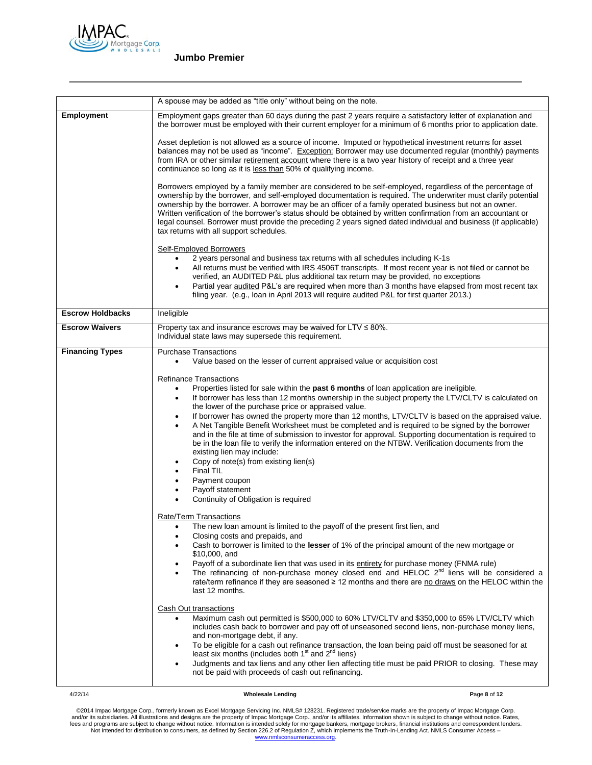

|                         | A spouse may be added as "title only" without being on the note.                                                                                                                                                                                                                                                                                                                                                                                                                                                                                                                                                                                                                                                                                                                                                                                                                                                                                                                                                                                                                                                                                                                                                                                                                                                                                                                                                                                                                                                                                          |
|-------------------------|-----------------------------------------------------------------------------------------------------------------------------------------------------------------------------------------------------------------------------------------------------------------------------------------------------------------------------------------------------------------------------------------------------------------------------------------------------------------------------------------------------------------------------------------------------------------------------------------------------------------------------------------------------------------------------------------------------------------------------------------------------------------------------------------------------------------------------------------------------------------------------------------------------------------------------------------------------------------------------------------------------------------------------------------------------------------------------------------------------------------------------------------------------------------------------------------------------------------------------------------------------------------------------------------------------------------------------------------------------------------------------------------------------------------------------------------------------------------------------------------------------------------------------------------------------------|
|                         |                                                                                                                                                                                                                                                                                                                                                                                                                                                                                                                                                                                                                                                                                                                                                                                                                                                                                                                                                                                                                                                                                                                                                                                                                                                                                                                                                                                                                                                                                                                                                           |
| Employment              | Employment gaps greater than 60 days during the past 2 years require a satisfactory letter of explanation and<br>the borrower must be employed with their current employer for a minimum of 6 months prior to application date.                                                                                                                                                                                                                                                                                                                                                                                                                                                                                                                                                                                                                                                                                                                                                                                                                                                                                                                                                                                                                                                                                                                                                                                                                                                                                                                           |
|                         | Asset depletion is not allowed as a source of income. Imputed or hypothetical investment returns for asset<br>balances may not be used as "income". Exception: Borrower may use documented regular (monthly) payments<br>from IRA or other similar retirement account where there is a two year history of receipt and a three year<br>continuance so long as it is less than 50% of qualifying income.                                                                                                                                                                                                                                                                                                                                                                                                                                                                                                                                                                                                                                                                                                                                                                                                                                                                                                                                                                                                                                                                                                                                                   |
|                         | Borrowers employed by a family member are considered to be self-employed, regardless of the percentage of<br>ownership by the borrower, and self-employed documentation is required. The underwriter must clarify potential<br>ownership by the borrower. A borrower may be an officer of a family operated business but not an owner.<br>Written verification of the borrower's status should be obtained by written confirmation from an accountant or<br>legal counsel. Borrower must provide the preceding 2 years signed dated individual and business (if applicable)<br>tax returns with all support schedules.                                                                                                                                                                                                                                                                                                                                                                                                                                                                                                                                                                                                                                                                                                                                                                                                                                                                                                                                    |
|                         | <b>Self-Employed Borrowers</b><br>2 years personal and business tax returns with all schedules including K-1s<br>All returns must be verified with IRS 4506T transcripts. If most recent year is not filed or cannot be<br>$\bullet$<br>verified, an AUDITED P&L plus additional tax return may be provided, no exceptions<br>Partial year audited P&L's are required when more than 3 months have elapsed from most recent tax<br>٠<br>filing year. (e.g., loan in April 2013 will require audited P&L for first quarter 2013.)                                                                                                                                                                                                                                                                                                                                                                                                                                                                                                                                                                                                                                                                                                                                                                                                                                                                                                                                                                                                                          |
| <b>Escrow Holdbacks</b> | Ineligible                                                                                                                                                                                                                                                                                                                                                                                                                                                                                                                                                                                                                                                                                                                                                                                                                                                                                                                                                                                                                                                                                                                                                                                                                                                                                                                                                                                                                                                                                                                                                |
| <b>Escrow Waivers</b>   | Property tax and insurance escrows may be waived for LTV $\leq 80\%$ .<br>Individual state laws may supersede this requirement.                                                                                                                                                                                                                                                                                                                                                                                                                                                                                                                                                                                                                                                                                                                                                                                                                                                                                                                                                                                                                                                                                                                                                                                                                                                                                                                                                                                                                           |
| <b>Financing Types</b>  | <b>Purchase Transactions</b><br>Value based on the lesser of current appraised value or acquisition cost<br>$\bullet$                                                                                                                                                                                                                                                                                                                                                                                                                                                                                                                                                                                                                                                                                                                                                                                                                                                                                                                                                                                                                                                                                                                                                                                                                                                                                                                                                                                                                                     |
|                         | <b>Refinance Transactions</b><br>Properties listed for sale within the past 6 months of loan application are ineligible.<br>$\bullet$<br>If borrower has less than 12 months ownership in the subject property the LTV/CLTV is calculated on<br>$\bullet$<br>the lower of the purchase price or appraised value.<br>If borrower has owned the property more than 12 months, LTV/CLTV is based on the appraised value.<br>$\bullet$<br>A Net Tangible Benefit Worksheet must be completed and is required to be signed by the borrower<br>$\bullet$<br>and in the file at time of submission to investor for approval. Supporting documentation is required to<br>be in the loan file to verify the information entered on the NTBW. Verification documents from the<br>existing lien may include:<br>Copy of note(s) from existing lien(s)<br>٠<br>Final TIL<br>$\bullet$<br>Payment coupon<br>Payoff statement<br>Continuity of Obligation is required<br>Rate/Term Transactions<br>The new loan amount is limited to the payoff of the present first lien, and<br>Closing costs and prepaids, and<br>٠<br>Cash to borrower is limited to the lesser of 1% of the principal amount of the new mortgage or<br>\$10,000, and<br>Payoff of a subordinate lien that was used in its entirety for purchase money (FNMA rule)<br>The refinancing of non-purchase money closed end and HELOC $2^{nd}$ liens will be considered a<br>rate/term refinance if they are seasoned $\geq 12$ months and there are no draws on the HELOC within the<br>last 12 months. |
|                         | <b>Cash Out transactions</b><br>Maximum cash out permitted is \$500,000 to 60% LTV/CLTV and \$350,000 to 65% LTV/CLTV which<br>$\bullet$<br>includes cash back to borrower and pay off of unseasoned second liens, non-purchase money liens,<br>and non-mortgage debt, if any.<br>To be eligible for a cash out refinance transaction, the loan being paid off must be seasoned for at<br>٠<br>least six months (includes both $1st$ and $2nd$ liens)<br>Judgments and tax liens and any other lien affecting title must be paid PRIOR to closing. These may<br>$\bullet$<br>not be paid with proceeds of cash out refinancing.                                                                                                                                                                                                                                                                                                                                                                                                                                                                                                                                                                                                                                                                                                                                                                                                                                                                                                                           |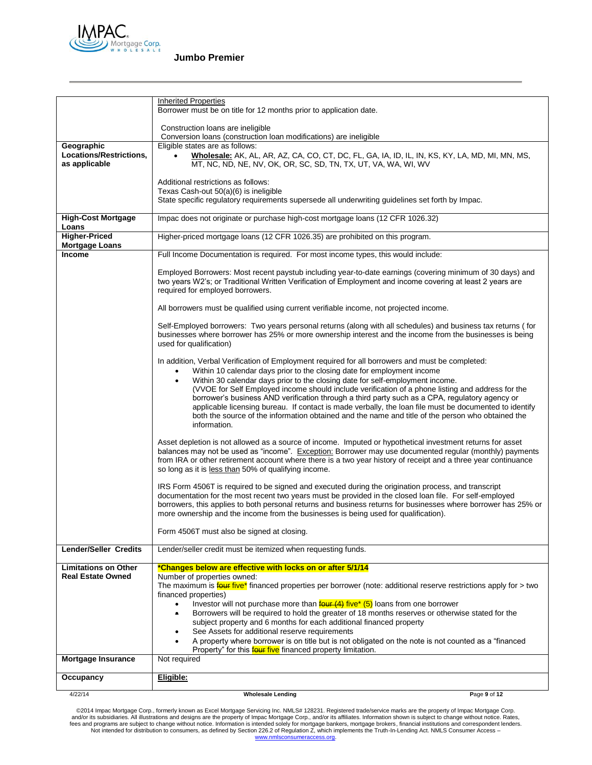

|                                                         | <b>Inherited Properties</b>                                                                                                                                                                                                                                                                                                                                                                                                                                                                                                                                                                                                                                                                                                                                                                                                                                          |              |
|---------------------------------------------------------|----------------------------------------------------------------------------------------------------------------------------------------------------------------------------------------------------------------------------------------------------------------------------------------------------------------------------------------------------------------------------------------------------------------------------------------------------------------------------------------------------------------------------------------------------------------------------------------------------------------------------------------------------------------------------------------------------------------------------------------------------------------------------------------------------------------------------------------------------------------------|--------------|
|                                                         | Borrower must be on title for 12 months prior to application date.                                                                                                                                                                                                                                                                                                                                                                                                                                                                                                                                                                                                                                                                                                                                                                                                   |              |
|                                                         |                                                                                                                                                                                                                                                                                                                                                                                                                                                                                                                                                                                                                                                                                                                                                                                                                                                                      |              |
|                                                         | Construction loans are ineligible<br>Conversion loans (construction loan modifications) are ineligible                                                                                                                                                                                                                                                                                                                                                                                                                                                                                                                                                                                                                                                                                                                                                               |              |
| Geographic                                              | Eligible states are as follows:                                                                                                                                                                                                                                                                                                                                                                                                                                                                                                                                                                                                                                                                                                                                                                                                                                      |              |
| Locations/Restrictions,<br>as applicable                | Wholesale: AK, AL, AR, AZ, CA, CO, CT, DC, FL, GA, IA, ID, IL, IN, KS, KY, LA, MD, MI, MN, MS,<br>$\bullet$<br>MT, NC, ND, NE, NV, OK, OR, SC, SD, TN, TX, UT, VA, WA, WI, WV                                                                                                                                                                                                                                                                                                                                                                                                                                                                                                                                                                                                                                                                                        |              |
|                                                         | Additional restrictions as follows:<br>Texas Cash-out 50(a)(6) is ineligible                                                                                                                                                                                                                                                                                                                                                                                                                                                                                                                                                                                                                                                                                                                                                                                         |              |
|                                                         | State specific regulatory requirements supersede all underwriting guidelines set forth by Impac.                                                                                                                                                                                                                                                                                                                                                                                                                                                                                                                                                                                                                                                                                                                                                                     |              |
| <b>High-Cost Mortgage</b><br>Loans                      | Impac does not originate or purchase high-cost mortgage loans (12 CFR 1026.32)                                                                                                                                                                                                                                                                                                                                                                                                                                                                                                                                                                                                                                                                                                                                                                                       |              |
| <b>Higher-Priced</b><br><b>Mortgage Loans</b>           | Higher-priced mortgage loans (12 CFR 1026.35) are prohibited on this program.                                                                                                                                                                                                                                                                                                                                                                                                                                                                                                                                                                                                                                                                                                                                                                                        |              |
| <b>Income</b>                                           | Full Income Documentation is required. For most income types, this would include:                                                                                                                                                                                                                                                                                                                                                                                                                                                                                                                                                                                                                                                                                                                                                                                    |              |
|                                                         | Employed Borrowers: Most recent paystub including year-to-date earnings (covering minimum of 30 days) and<br>two years W2's; or Traditional Written Verification of Employment and income covering at least 2 years are<br>required for employed borrowers.                                                                                                                                                                                                                                                                                                                                                                                                                                                                                                                                                                                                          |              |
|                                                         | All borrowers must be qualified using current verifiable income, not projected income.                                                                                                                                                                                                                                                                                                                                                                                                                                                                                                                                                                                                                                                                                                                                                                               |              |
|                                                         | Self-Employed borrowers: Two years personal returns (along with all schedules) and business tax returns (for<br>businesses where borrower has 25% or more ownership interest and the income from the businesses is being<br>used for qualification)                                                                                                                                                                                                                                                                                                                                                                                                                                                                                                                                                                                                                  |              |
|                                                         | In addition, Verbal Verification of Employment required for all borrowers and must be completed:<br>Within 10 calendar days prior to the closing date for employment income<br>$\bullet$<br>Within 30 calendar days prior to the closing date for self-employment income.<br>$\bullet$<br>(VVOE for Self Employed income should include verification of a phone listing and address for the<br>borrower's business AND verification through a third party such as a CPA, regulatory agency or<br>applicable licensing bureau. If contact is made verbally, the loan file must be documented to identify<br>both the source of the information obtained and the name and title of the person who obtained the<br>information.                                                                                                                                         |              |
|                                                         | Asset depletion is not allowed as a source of income. Imputed or hypothetical investment returns for asset<br>balances may not be used as "income". Exception: Borrower may use documented regular (monthly) payments<br>from IRA or other retirement account where there is a two year history of receipt and a three year continuance<br>so long as it is less than 50% of qualifying income.                                                                                                                                                                                                                                                                                                                                                                                                                                                                      |              |
|                                                         | IRS Form 4506T is required to be signed and executed during the origination process, and transcript<br>documentation for the most recent two years must be provided in the closed loan file. For self-employed<br>borrowers, this applies to both personal returns and business returns for businesses where borrower has 25% or<br>more ownership and the income from the businesses is being used for qualification).                                                                                                                                                                                                                                                                                                                                                                                                                                              |              |
|                                                         | Form 4506T must also be signed at closing.                                                                                                                                                                                                                                                                                                                                                                                                                                                                                                                                                                                                                                                                                                                                                                                                                           |              |
| <b>Lender/Seller Credits</b>                            | Lender/seller credit must be itemized when requesting funds.                                                                                                                                                                                                                                                                                                                                                                                                                                                                                                                                                                                                                                                                                                                                                                                                         |              |
| <b>Limitations on Other</b><br><b>Real Estate Owned</b> | *Changes below are effective with locks on or after 5/1/14<br>Number of properties owned:<br>The maximum is $\frac{f_{\text{QUE}}f_{\text{IVE}}}{f_{\text{IVE}}f_{\text{IVE}}}$ financed properties per borrower (note: additional reserve restrictions apply for > two<br>financed properties)<br>Investor will not purchase more than $\frac{\text{four (4)}}{\text{four (4)}}$ five* (5) loans from one borrower<br>$\bullet$<br>Borrowers will be required to hold the greater of 18 months reserves or otherwise stated for the<br>$\bullet$<br>subject property and 6 months for each additional financed property<br>See Assets for additional reserve requirements<br>A property where borrower is on title but is not obligated on the note is not counted as a "financed<br>$\bullet$<br>Property" for this <b>four five</b> financed property limitation. |              |
| <b>Mortgage Insurance</b>                               | Not required                                                                                                                                                                                                                                                                                                                                                                                                                                                                                                                                                                                                                                                                                                                                                                                                                                                         |              |
| Occupancy                                               | Eligible:                                                                                                                                                                                                                                                                                                                                                                                                                                                                                                                                                                                                                                                                                                                                                                                                                                                            |              |
| 4/22/14                                                 | <b>Wholesale Lending</b>                                                                                                                                                                                                                                                                                                                                                                                                                                                                                                                                                                                                                                                                                                                                                                                                                                             | Page 9 of 12 |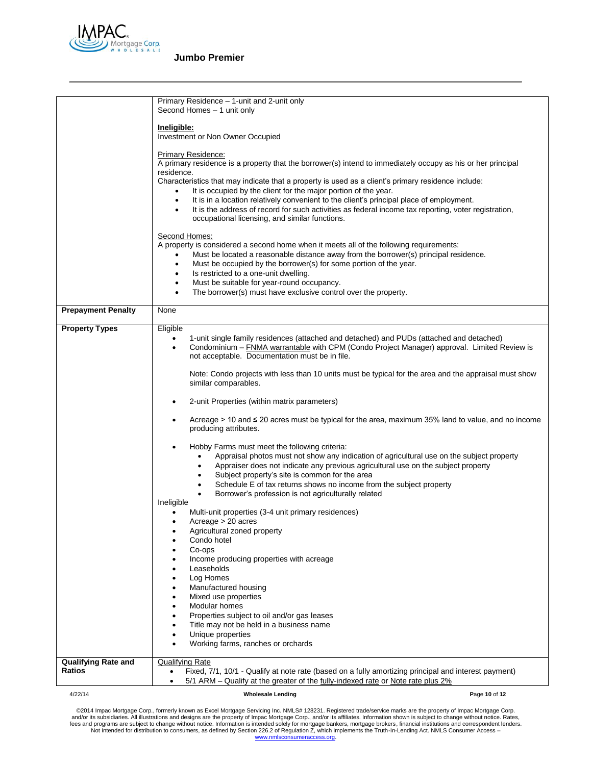

| 4/22/14                    | <b>Wholesale Lending</b><br>Page 10 of 12                                                                                                                                                                         |
|----------------------------|-------------------------------------------------------------------------------------------------------------------------------------------------------------------------------------------------------------------|
| Ratios                     | Fixed, 7/1, 10/1 - Qualify at note rate (based on a fully amortizing principal and interest payment)<br>$\bullet$<br>5/1 ARM - Qualify at the greater of the fully-indexed rate or Note rate plus 2%<br>$\bullet$ |
| <b>Qualifying Rate and</b> | <b>Qualifying Rate</b>                                                                                                                                                                                            |
|                            | Working farms, ranches or orchards                                                                                                                                                                                |
|                            | Unique properties<br>٠                                                                                                                                                                                            |
|                            | Title may not be held in a business name                                                                                                                                                                          |
|                            | Modular homes<br>$\bullet$<br>Properties subject to oil and/or gas leases                                                                                                                                         |
|                            | Mixed use properties                                                                                                                                                                                              |
|                            | Manufactured housing                                                                                                                                                                                              |
|                            | Leaseholds<br>Log Homes                                                                                                                                                                                           |
|                            | Income producing properties with acreage                                                                                                                                                                          |
|                            | Co-ops                                                                                                                                                                                                            |
|                            | Agricultural zoned property<br>Condo hotel                                                                                                                                                                        |
|                            | $Average > 20$ acres                                                                                                                                                                                              |
|                            | Multi-unit properties (3-4 unit primary residences)                                                                                                                                                               |
|                            | Borrower's profession is not agriculturally related<br>Ineligible                                                                                                                                                 |
|                            | Schedule E of tax returns shows no income from the subject property                                                                                                                                               |
|                            | Subject property's site is common for the area                                                                                                                                                                    |
|                            | Appraisal photos must not show any indication of agricultural use on the subject property<br>Appraiser does not indicate any previous agricultural use on the subject property<br>$\bullet$                       |
|                            | Hobby Farms must meet the following criteria:                                                                                                                                                                     |
|                            |                                                                                                                                                                                                                   |
|                            | Acreage > 10 and $\leq$ 20 acres must be typical for the area, maximum 35% land to value, and no income<br>producing attributes.                                                                                  |
|                            |                                                                                                                                                                                                                   |
|                            | 2-unit Properties (within matrix parameters)                                                                                                                                                                      |
|                            | similar comparables.                                                                                                                                                                                              |
|                            | Note: Condo projects with less than 10 units must be typical for the area and the appraisal must show                                                                                                             |
|                            | not acceptable. Documentation must be in file.                                                                                                                                                                    |
|                            | 1-unit single family residences (attached and detached) and PUDs (attached and detached)<br>Condominium - FNMA warrantable with CPM (Condo Project Manager) approval. Limited Review is                           |
| <b>Property Types</b>      | Eligible                                                                                                                                                                                                          |
| <b>Prepayment Penalty</b>  | None                                                                                                                                                                                                              |
|                            |                                                                                                                                                                                                                   |
|                            | Must be suitable for year-round occupancy.<br>$\bullet$<br>The borrower(s) must have exclusive control over the property.                                                                                         |
|                            | Is restricted to a one-unit dwelling.<br>$\bullet$                                                                                                                                                                |
|                            | Must be occupied by the borrower(s) for some portion of the year.<br>$\bullet$                                                                                                                                    |
|                            | A property is considered a second home when it meets all of the following requirements:<br>Must be located a reasonable distance away from the borrower(s) principal residence.                                   |
|                            | Second Homes:                                                                                                                                                                                                     |
|                            |                                                                                                                                                                                                                   |
|                            | It is the address of record for such activities as federal income tax reporting, voter registration,<br>٠<br>occupational licensing, and similar functions.                                                       |
|                            | It is in a location relatively convenient to the client's principal place of employment.<br>$\bullet$                                                                                                             |
|                            | Characteristics that may indicate that a property is used as a client's primary residence include:<br>It is occupied by the client for the major portion of the year.                                             |
|                            | residence.                                                                                                                                                                                                        |
|                            | Primary Residence:<br>A primary residence is a property that the borrower(s) intend to immediately occupy as his or her principal                                                                                 |
|                            |                                                                                                                                                                                                                   |
|                            | <u>Ineligible:</u><br>Investment or Non Owner Occupied                                                                                                                                                            |
|                            |                                                                                                                                                                                                                   |
|                            | Primary Residence - 1-unit and 2-unit only<br>Second Homes - 1 unit only                                                                                                                                          |
|                            |                                                                                                                                                                                                                   |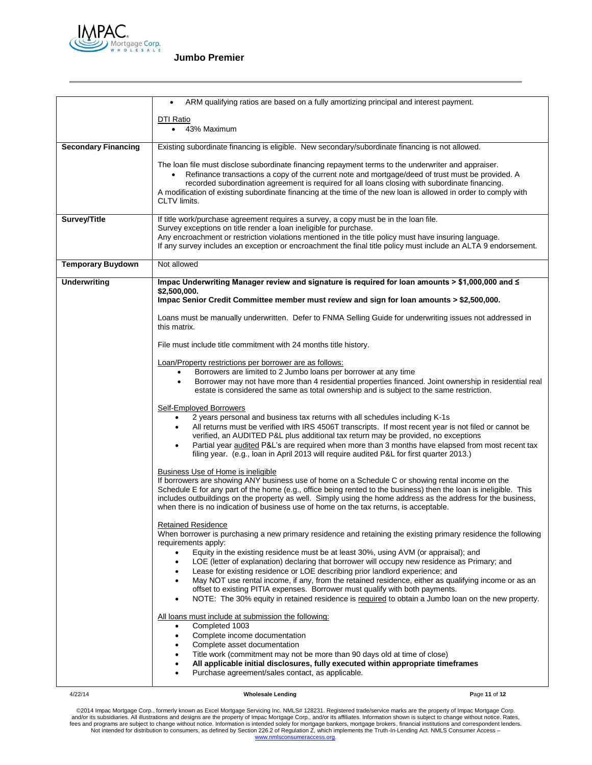

|                            | ARM qualifying ratios are based on a fully amortizing principal and interest payment.                                                                                                                                              |
|----------------------------|------------------------------------------------------------------------------------------------------------------------------------------------------------------------------------------------------------------------------------|
|                            | DTI Ratio                                                                                                                                                                                                                          |
|                            | 43% Maximum<br>$\bullet$                                                                                                                                                                                                           |
|                            |                                                                                                                                                                                                                                    |
| <b>Secondary Financing</b> | Existing subordinate financing is eligible. New secondary/subordinate financing is not allowed.                                                                                                                                    |
|                            | The loan file must disclose subordinate financing repayment terms to the underwriter and appraiser.                                                                                                                                |
|                            | Refinance transactions a copy of the current note and mortgage/deed of trust must be provided. A<br>$\bullet$                                                                                                                      |
|                            | recorded subordination agreement is required for all loans closing with subordinate financing.                                                                                                                                     |
|                            | A modification of existing subordinate financing at the time of the new loan is allowed in order to comply with                                                                                                                    |
|                            | CLTV limits.                                                                                                                                                                                                                       |
| Survey/Title               | If title work/purchase agreement requires a survey, a copy must be in the loan file.                                                                                                                                               |
|                            | Survey exceptions on title render a loan ineligible for purchase.                                                                                                                                                                  |
|                            | Any encroachment or restriction violations mentioned in the title policy must have insuring language.                                                                                                                              |
|                            | If any survey includes an exception or encroachment the final title policy must include an ALTA 9 endorsement.                                                                                                                     |
|                            |                                                                                                                                                                                                                                    |
| <b>Temporary Buydown</b>   | Not allowed                                                                                                                                                                                                                        |
| <b>Underwriting</b>        | Impac Underwriting Manager review and signature is required for loan amounts > \$1,000,000 and $\leq$                                                                                                                              |
|                            | \$2.500.000.                                                                                                                                                                                                                       |
|                            | Impac Senior Credit Committee member must review and sign for loan amounts > \$2,500,000.                                                                                                                                          |
|                            | Loans must be manually underwritten. Defer to FNMA Selling Guide for underwriting issues not addressed in                                                                                                                          |
|                            | this matrix.                                                                                                                                                                                                                       |
|                            |                                                                                                                                                                                                                                    |
|                            | File must include title commitment with 24 months title history.                                                                                                                                                                   |
|                            | Loan/Property restrictions per borrower are as follows:                                                                                                                                                                            |
|                            | Borrowers are limited to 2 Jumbo loans per borrower at any time<br>$\bullet$                                                                                                                                                       |
|                            | Borrower may not have more than 4 residential properties financed. Joint ownership in residential real<br>$\bullet$<br>estate is considered the same as total ownership and is subject to the same restriction.                    |
|                            |                                                                                                                                                                                                                                    |
|                            | Self-Employed Borrowers                                                                                                                                                                                                            |
|                            | 2 years personal and business tax returns with all schedules including K-1s<br>$\bullet$                                                                                                                                           |
|                            | All returns must be verified with IRS 4506T transcripts. If most recent year is not filed or cannot be                                                                                                                             |
|                            | verified, an AUDITED P&L plus additional tax return may be provided, no exceptions                                                                                                                                                 |
|                            | Partial year audited P&L's are required when more than 3 months have elapsed from most recent tax<br>filing year. (e.g., loan in April 2013 will require audited P&L for first quarter 2013.)                                      |
|                            |                                                                                                                                                                                                                                    |
|                            | Business Use of Home is ineligible                                                                                                                                                                                                 |
|                            | If borrowers are showing ANY business use of home on a Schedule C or showing rental income on the                                                                                                                                  |
|                            | Schedule E for any part of the home (e.g., office being rented to the business) then the loan is ineligible. This<br>includes outbuildings on the property as well. Simply using the home address as the address for the business, |
|                            | when there is no indication of business use of home on the tax returns, is acceptable.                                                                                                                                             |
|                            |                                                                                                                                                                                                                                    |
|                            | <b>Retained Residence</b>                                                                                                                                                                                                          |
|                            | When borrower is purchasing a new primary residence and retaining the existing primary residence the following<br>requirements apply:                                                                                              |
|                            | Equity in the existing residence must be at least 30%, using AVM (or appraisal); and                                                                                                                                               |
|                            | LOE (letter of explanation) declaring that borrower will occupy new residence as Primary; and<br>$\bullet$                                                                                                                         |
|                            | Lease for existing residence or LOE describing prior landlord experience; and<br>$\bullet$                                                                                                                                         |
|                            | May NOT use rental income, if any, from the retained residence, either as qualifying income or as an<br>$\bullet$                                                                                                                  |
|                            | offset to existing PITIA expenses. Borrower must qualify with both payments.                                                                                                                                                       |
|                            | NOTE: The 30% equity in retained residence is required to obtain a Jumbo loan on the new property.<br>$\bullet$                                                                                                                    |
|                            | All loans must include at submission the following:                                                                                                                                                                                |
|                            | Completed 1003<br>$\bullet$                                                                                                                                                                                                        |
|                            | Complete income documentation<br>$\bullet$                                                                                                                                                                                         |
|                            | Complete asset documentation<br>٠                                                                                                                                                                                                  |
|                            | Title work (commitment may not be more than 90 days old at time of close)<br>٠<br>All applicable initial disclosures, fully executed within appropriate timeframes<br>٠                                                            |
|                            | Purchase agreement/sales contact, as applicable.<br>$\bullet$                                                                                                                                                                      |
|                            |                                                                                                                                                                                                                                    |

4/22/14 **Wholesale Lending P**age **11** of **12**